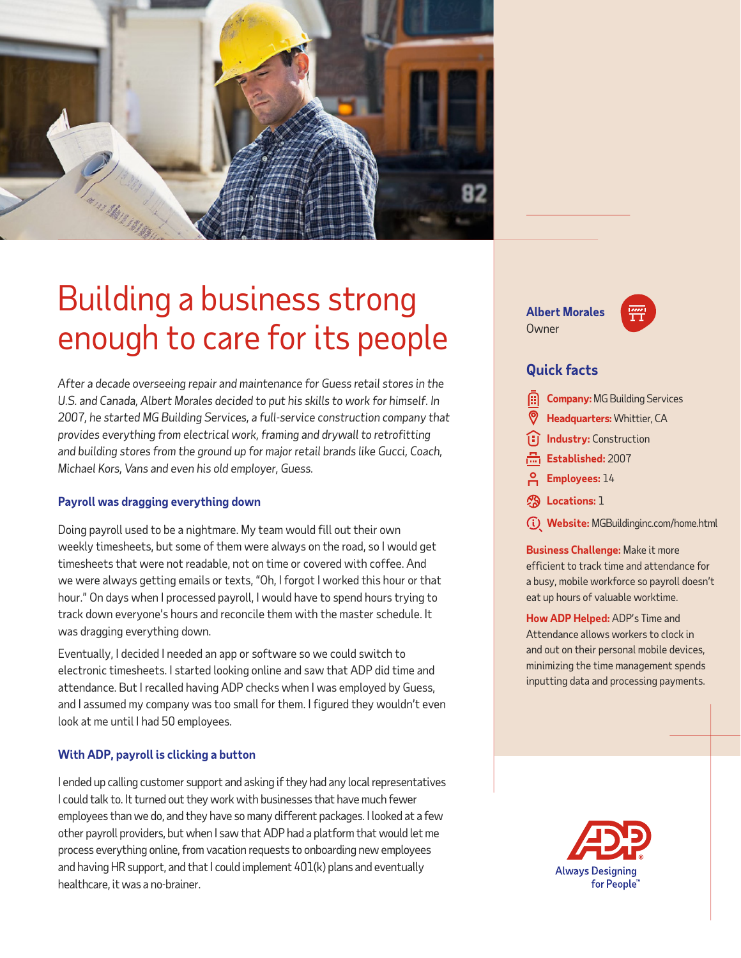

# Building a business strong enough to care for its people

*After a decade overseeing repair and maintenance for Guess retail stores in the U.S. and Canada, Albert Morales decided to put his skills to work for himself. In 2007, he started MG Building Services, a full-service construction company that provides everything from electrical work, framing and drywall to retrofitting and building stores from the ground up for major retail brands like Gucci, Coach, Michael Kors, Vans and even his old employer, Guess.* 

#### **Payroll was dragging everything down**

Doing payroll used to be a nightmare. My team would fill out their own weekly timesheets, but some of them were always on the road, so I would get timesheets that were not readable, not on time or covered with coffee. And we were always getting emails or texts, "Oh, I forgot I worked this hour or that hour." On days when I processed payroll, I would have to spend hours trying to track down everyone's hours and reconcile them with the master schedule. It was dragging everything down.

Eventually, I decided I needed an app or software so we could switch to electronic timesheets. I started looking online and saw that ADP did time and attendance. But I recalled having ADP checks when I was employed by Guess, and I assumed my company was too small for them. I figured they wouldn't even look at me until I had 50 employees.

### **With ADP, payroll is clicking a button**

I ended up calling customer support and asking if they had any local representatives I could talk to. It turned out they work with businesses that have much fewer employees than we do, and they have so many different packages. I looked at a few other payroll providers, but when I saw that ADP had a platform that would let me process everything online, from vacation requests to onboarding new employees and having HR support, and that I could implement 401(k) plans and eventually healthcare, it was a no-brainer.

**Albert Morales Owner** 



## **Quick facts**

|  | <b>Company: MG Building Services</b> |  |  |  |
|--|--------------------------------------|--|--|--|
|--|--------------------------------------|--|--|--|

- **Headquarters:** Whittier, CA
- **Industry:** Construction
- Established: 2007
- **Employees:** 14
- **Locations:** 1
- **Website:** MGBuildinginc.com/home.html

**Business Challenge:** Make it more efficient to track time and attendance for a busy, mobile workforce so payroll doesn't eat up hours of valuable worktime.

**How ADP Helped:** ADP's Time and Attendance allows workers to clock in and out on their personal mobile devices, minimizing the time management spends inputting data and processing payments.